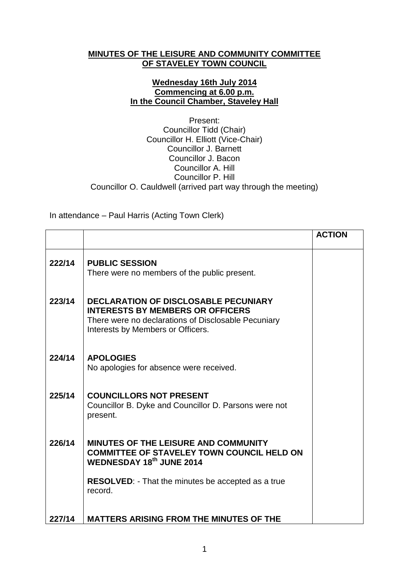## **MINUTES OF THE LEISURE AND COMMUNITY COMMITTEE OF STAVELEY TOWN COUNCIL**

## **Wednesday 16th July 2014 Commencing at 6.00 p.m. In the Council Chamber, Staveley Hall**

Present: Councillor Tidd (Chair) Councillor H. Elliott (Vice-Chair) Councillor J. Barnett Councillor J. Bacon Councillor A. Hill Councillor P. Hill Councillor O. Cauldwell (arrived part way through the meeting)

In attendance – Paul Harris (Acting Town Clerk)

|        |                                                                                                                                                                                    | <b>ACTION</b> |
|--------|------------------------------------------------------------------------------------------------------------------------------------------------------------------------------------|---------------|
| 222/14 | <b>PUBLIC SESSION</b><br>There were no members of the public present.                                                                                                              |               |
| 223/14 | <b>DECLARATION OF DISCLOSABLE PECUNIARY</b><br><b>INTERESTS BY MEMBERS OR OFFICERS</b><br>There were no declarations of Disclosable Pecuniary<br>Interests by Members or Officers. |               |
| 224/14 | <b>APOLOGIES</b><br>No apologies for absence were received.                                                                                                                        |               |
| 225/14 | <b>COUNCILLORS NOT PRESENT</b><br>Councillor B. Dyke and Councillor D. Parsons were not<br>present.                                                                                |               |
| 226/14 | <b>MINUTES OF THE LEISURE AND COMMUNITY</b><br><b>COMMITTEE OF STAVELEY TOWN COUNCIL HELD ON</b><br>WEDNESDAY 18th JUNE 2014                                                       |               |
|        | <b>RESOLVED:</b> - That the minutes be accepted as a true<br>record.                                                                                                               |               |
| 227/14 | <b>MATTERS ARISING FROM THE MINUTES OF THE</b>                                                                                                                                     |               |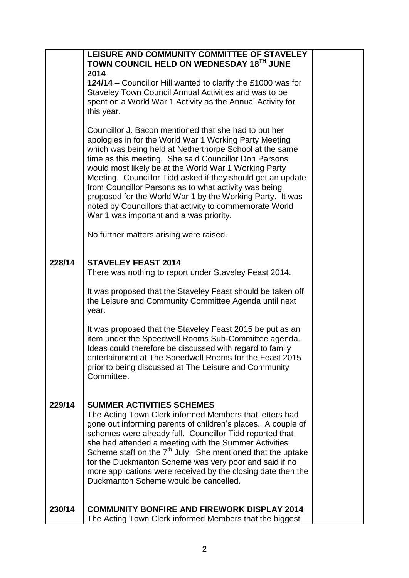|        | LEISURE AND COMMUNITY COMMITTEE OF STAVELEY<br>TOWN COUNCIL HELD ON WEDNESDAY 18TH JUNE<br>2014<br>124/14 – Councillor Hill wanted to clarify the £1000 was for<br>Staveley Town Council Annual Activities and was to be<br>spent on a World War 1 Activity as the Annual Activity for<br>this year.<br>Councillor J. Bacon mentioned that she had to put her<br>apologies in for the World War 1 Working Party Meeting<br>which was being held at Netherthorpe School at the same<br>time as this meeting. She said Councillor Don Parsons<br>would most likely be at the World War 1 Working Party<br>Meeting. Councillor Tidd asked if they should get an update<br>from Councillor Parsons as to what activity was being |  |
|--------|------------------------------------------------------------------------------------------------------------------------------------------------------------------------------------------------------------------------------------------------------------------------------------------------------------------------------------------------------------------------------------------------------------------------------------------------------------------------------------------------------------------------------------------------------------------------------------------------------------------------------------------------------------------------------------------------------------------------------|--|
|        | proposed for the World War 1 by the Working Party. It was<br>noted by Councillors that activity to commemorate World<br>War 1 was important and a was priority.                                                                                                                                                                                                                                                                                                                                                                                                                                                                                                                                                              |  |
|        | No further matters arising were raised.                                                                                                                                                                                                                                                                                                                                                                                                                                                                                                                                                                                                                                                                                      |  |
| 228/14 | <b>STAVELEY FEAST 2014</b><br>There was nothing to report under Staveley Feast 2014.                                                                                                                                                                                                                                                                                                                                                                                                                                                                                                                                                                                                                                         |  |
|        | It was proposed that the Staveley Feast should be taken off<br>the Leisure and Community Committee Agenda until next<br>year.                                                                                                                                                                                                                                                                                                                                                                                                                                                                                                                                                                                                |  |
|        | It was proposed that the Staveley Feast 2015 be put as an<br>item under the Speedwell Rooms Sub-Committee agenda.<br>Ideas could therefore be discussed with regard to family<br>entertainment at The Speedwell Rooms for the Feast 2015<br>prior to being discussed at The Leisure and Community<br>Committee.                                                                                                                                                                                                                                                                                                                                                                                                              |  |
| 229/14 | <b>SUMMER ACTIVITIES SCHEMES</b><br>The Acting Town Clerk informed Members that letters had<br>gone out informing parents of children's places. A couple of<br>schemes were already full. Councillor Tidd reported that<br>she had attended a meeting with the Summer Activities<br>Scheme staff on the $7th$ July. She mentioned that the uptake<br>for the Duckmanton Scheme was very poor and said if no<br>more applications were received by the closing date then the<br>Duckmanton Scheme would be cancelled.                                                                                                                                                                                                         |  |
| 230/14 | <b>COMMUNITY BONFIRE AND FIREWORK DISPLAY 2014</b><br>The Acting Town Clerk informed Members that the biggest                                                                                                                                                                                                                                                                                                                                                                                                                                                                                                                                                                                                                |  |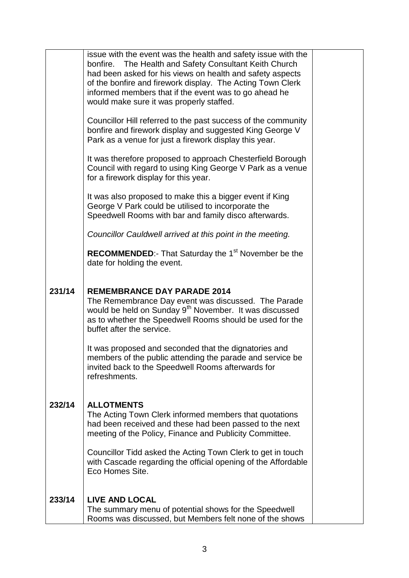|        | issue with the event was the health and safety issue with the<br>bonfire. The Health and Safety Consultant Keith Church<br>had been asked for his views on health and safety aspects<br>of the bonfire and firework display. The Acting Town Clerk<br>informed members that if the event was to go ahead he<br>would make sure it was properly staffed. |  |
|--------|---------------------------------------------------------------------------------------------------------------------------------------------------------------------------------------------------------------------------------------------------------------------------------------------------------------------------------------------------------|--|
|        | Councillor Hill referred to the past success of the community<br>bonfire and firework display and suggested King George V<br>Park as a venue for just a firework display this year.                                                                                                                                                                     |  |
|        | It was therefore proposed to approach Chesterfield Borough<br>Council with regard to using King George V Park as a venue<br>for a firework display for this year.                                                                                                                                                                                       |  |
|        | It was also proposed to make this a bigger event if King<br>George V Park could be utilised to incorporate the<br>Speedwell Rooms with bar and family disco afterwards.                                                                                                                                                                                 |  |
|        | Councillor Cauldwell arrived at this point in the meeting.                                                                                                                                                                                                                                                                                              |  |
|        | <b>RECOMMENDED:</b> That Saturday the $1st$ November be the<br>date for holding the event.                                                                                                                                                                                                                                                              |  |
| 231/14 | <b>REMEMBRANCE DAY PARADE 2014</b><br>The Remembrance Day event was discussed. The Parade<br>would be held on Sunday 9 <sup>th</sup> November. It was discussed<br>as to whether the Speedwell Rooms should be used for the<br>buffet after the service.                                                                                                |  |
|        | It was proposed and seconded that the dignatories and<br>members of the public attending the parade and service be<br>invited back to the Speedwell Rooms afterwards for<br>refreshments.                                                                                                                                                               |  |
| 232/14 | <b>ALLOTMENTS</b><br>The Acting Town Clerk informed members that quotations<br>had been received and these had been passed to the next<br>meeting of the Policy, Finance and Publicity Committee.                                                                                                                                                       |  |
|        | Councillor Tidd asked the Acting Town Clerk to get in touch<br>with Cascade regarding the official opening of the Affordable<br>Eco Homes Site.                                                                                                                                                                                                         |  |
| 233/14 | <b>LIVE AND LOCAL</b><br>The summary menu of potential shows for the Speedwell<br>Rooms was discussed, but Members felt none of the shows                                                                                                                                                                                                               |  |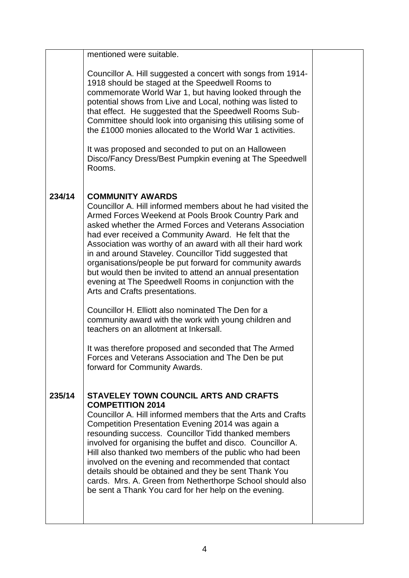|        | mentioned were suitable.                                                                                                                                                                                                                                                                                                                                                                                                                                                                                                                                                                                           |  |
|--------|--------------------------------------------------------------------------------------------------------------------------------------------------------------------------------------------------------------------------------------------------------------------------------------------------------------------------------------------------------------------------------------------------------------------------------------------------------------------------------------------------------------------------------------------------------------------------------------------------------------------|--|
|        | Councillor A. Hill suggested a concert with songs from 1914-<br>1918 should be staged at the Speedwell Rooms to<br>commemorate World War 1, but having looked through the<br>potential shows from Live and Local, nothing was listed to<br>that effect. He suggested that the Speedwell Rooms Sub-<br>Committee should look into organising this utilising some of<br>the £1000 monies allocated to the World War 1 activities.                                                                                                                                                                                    |  |
|        | It was proposed and seconded to put on an Halloween<br>Disco/Fancy Dress/Best Pumpkin evening at The Speedwell<br>Rooms.                                                                                                                                                                                                                                                                                                                                                                                                                                                                                           |  |
| 234/14 | <b>COMMUNITY AWARDS</b><br>Councillor A. Hill informed members about he had visited the<br>Armed Forces Weekend at Pools Brook Country Park and<br>asked whether the Armed Forces and Veterans Association<br>had ever received a Community Award. He felt that the<br>Association was worthy of an award with all their hard work<br>in and around Staveley. Councillor Tidd suggested that<br>organisations/people be put forward for community awards<br>but would then be invited to attend an annual presentation<br>evening at The Speedwell Rooms in conjunction with the<br>Arts and Crafts presentations. |  |
|        | Councillor H. Elliott also nominated The Den for a<br>community award with the work with young children and<br>teachers on an allotment at Inkersall.                                                                                                                                                                                                                                                                                                                                                                                                                                                              |  |
|        | It was therefore proposed and seconded that The Armed<br>Forces and Veterans Association and The Den be put<br>forward for Community Awards.                                                                                                                                                                                                                                                                                                                                                                                                                                                                       |  |
| 235/14 | STAVELEY TOWN COUNCIL ARTS AND CRAFTS<br><b>COMPETITION 2014</b><br>Councillor A. Hill informed members that the Arts and Crafts<br>Competition Presentation Evening 2014 was again a<br>resounding success. Councillor Tidd thanked members<br>involved for organising the buffet and disco. Councillor A.<br>Hill also thanked two members of the public who had been<br>involved on the evening and recommended that contact<br>details should be obtained and they be sent Thank You<br>cards. Mrs. A. Green from Netherthorpe School should also<br>be sent a Thank You card for her help on the evening.     |  |